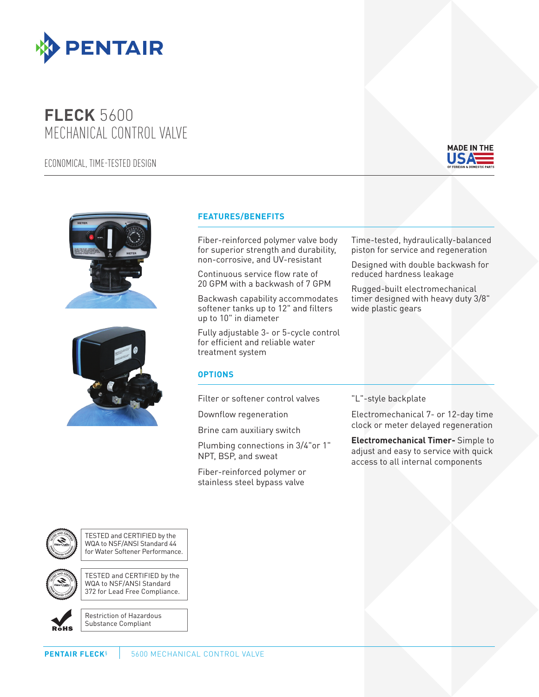

## **FLECK** 5600 MECHANICAL CONTROL VALVE

ECONOMICAL, TIME-TESTED DESIGN







## **FEATURES/BENEFITS**

Fiber-reinforced polymer valve body for superior strength and durability, non-corrosive, and UV-resistant

Continuous service flow rate of 20 GPM with a backwash of 7 GPM

Backwash capability accommodates softener tanks up to 12" and filters up to 10" in diameter

Fully adjustable 3- or 5-cycle control for efficient and reliable water treatment system

## **OPTIONS**

Filter or softener control valves

Downflow regeneration

Brine cam auxiliary switch

Plumbing connections in 3/4"or 1" NPT, BSP, and sweat

Fiber-reinforced polymer or stainless steel bypass valve

Time-tested, hydraulically-balanced piston for service and regeneration

Designed with double backwash for reduced hardness leakage

Rugged-built electromechanical timer designed with heavy duty 3/8" wide plastic gears

## "L"-style backplate

Electromechanical 7- or 12-day time clock or meter delayed regeneration

**Electromechanical Timer-** Simple to adjust and easy to service with quick access to all internal components



TESTED and CERTIFIED by the WQA to NSF/ANSI Standard 44 for Water Softener Performance.

TESTED and CERTIFIED by the WQA to NSF/ANSI Standard 372 for Lead Free Compliance.



Restriction of Hazardous Substance Compliant